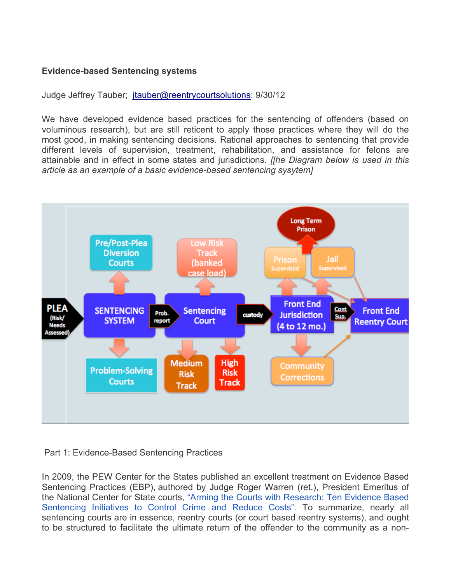# **Evidence-based Sentencing systems**

Judge Jeffrey Tauber; jtauber@reentrycourtsolutions: 9/30/12

We have developed evidence based practices for the sentencing of offenders (based on voluminous research), but are still reticent to apply those practices where they will do the most good, in making sentencing decisions. Rational approaches to sentencing that provide different levels of supervision, treatment, rehabilitation, and assistance for felons are attainable and in effect in some states and jurisdictions. *[[he Diagram below is used in this article as an example of a basic evidence-based sentencing sysytem]*



### Part 1: Evidence-Based Sentencing Practices

In 2009, the PEW Center for the States published an excellent treatment on Evidence Based Sentencing Practices (EBP), authored by Judge Roger Warren (ret.), President Emeritus of the National Center for State courts, "Arming the Courts with Research: Ten Evidence Based Sentencing Initiatives to Control Crime and Reduce Costs". To summarize, nearly all sentencing courts are in essence, reentry courts (or court based reentry systems), and ought to be structured to facilitate the ultimate return of the offender to the community as a non-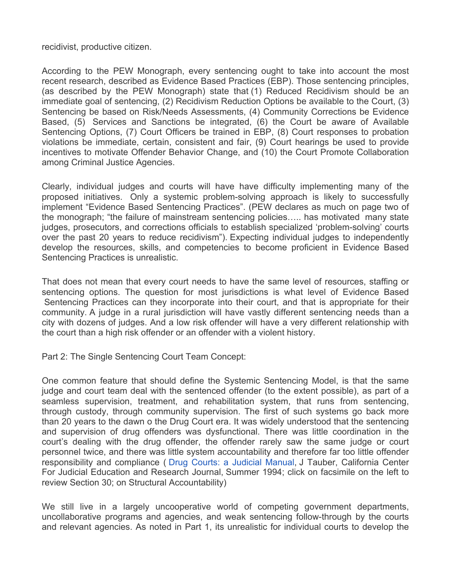#### recidivist, productive citizen.

According to the PEW Monograph, every sentencing ought to take into account the most recent research, described as Evidence Based Practices (EBP). Those sentencing principles, (as described by the PEW Monograph) state that (1) Reduced Recidivism should be an immediate goal of sentencing, (2) Recidivism Reduction Options be available to the Court, (3) Sentencing be based on Risk/Needs Assessments, (4) Community Corrections be Evidence Based, (5) Services and Sanctions be integrated, (6) the Court be aware of Available Sentencing Options, (7) Court Officers be trained in EBP, (8) Court responses to probation violations be immediate, certain, consistent and fair, (9) Court hearings be used to provide incentives to motivate Offender Behavior Change, and (10) the Court Promote Collaboration among Criminal Justice Agencies.

Clearly, individual judges and courts will have have difficulty implementing many of the proposed initiatives. Only a systemic problem-solving approach is likely to successfully implement "Evidence Based Sentencing Practices". (PEW declares as much on page two of the monograph; "the failure of mainstream sentencing policies….. has motivated many state judges, prosecutors, and corrections officials to establish specialized 'problem-solving' courts over the past 20 years to reduce recidivism"). Expecting individual judges to independently develop the resources, skills, and competencies to become proficient in Evidence Based Sentencing Practices is unrealistic.

That does not mean that every court needs to have the same level of resources, staffing or sentencing options. The question for most jurisdictions is what level of Evidence Based Sentencing Practices can they incorporate into their court, and that is appropriate for their community. A judge in a rural jurisdiction will have vastly different sentencing needs than a city with dozens of judges. And a low risk offender will have a very different relationship with the court than a high risk offender or an offender with a violent history.

Part 2: The Single Sentencing Court Team Concept:

One common feature that should define the Systemic Sentencing Model, is that the same judge and court team deal with the sentenced offender (to the extent possible), as part of a seamless supervision, treatment, and rehabilitation system, that runs from sentencing, through custody, through community supervision. The first of such systems go back more than 20 years to the dawn o the Drug Court era. It was widely understood that the sentencing and supervision of drug offenders was dysfunctional. There was little coordination in the court's dealing with the drug offender, the offender rarely saw the same judge or court personnel twice, and there was little system accountability and therefore far too little offender responsibility and compliance ( Drug Courts: a Judicial Manual, J Tauber, California Center For Judicial Education and Research Journal, Summer 1994; click on facsimile on the left to review Section 30; on Structural Accountability)

We still live in a largely uncooperative world of competing government departments, uncollaborative programs and agencies, and weak sentencing follow-through by the courts and relevant agencies. As noted in Part 1, its unrealistic for individual courts to develop the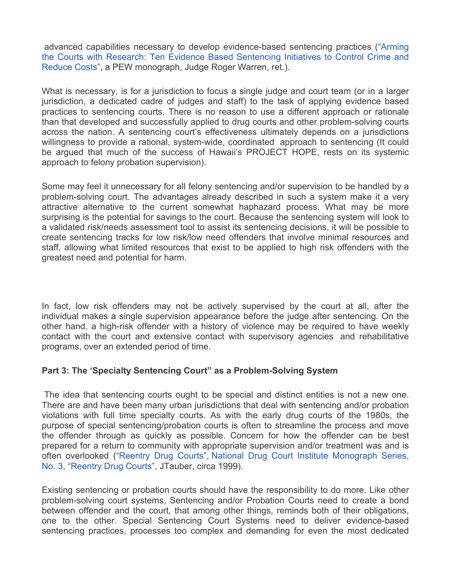advanced capabilities necessary to develop evidence-based sentencing practices ("Arming the Courts with Research: Ten Evidence Based Sentencing Initiatives to Control Crime and Reduce Costs", a PEW monograph, Judge Roger Warren, ret.).

What is necessary, is for a jurisdiction to focus a single judge and court team (or in a larger jurisdiction, a dedicated cadre of judges and staff) to the task of applying evidence based practices to sentencing courts. There is no reason to use a different approach or rationale than that developed and successfully applied to drug courts and other problem-solving courts across the nation. A sentencing court's effectiveness ultimately depends on a jurisdictions willingness to provide a rational, system-wide, coordinated approach to sentencing (It could be argued that much of the success of Hawaii's PROJECT HOPE, rests on its systemic approach to felony probation supervision).

Some may feel it unnecessary for all felony sentencing and/or supervision to be handled by a problem-solving court. The advantages already described in such a system make it a very attractive alternative to the current somewhat haphazard process. What may be more surprising is the potential for savings to the court. Because the sentencing system will look to a validated risk/needs assessment tool to assist its sentencing decisions, it will be possible to create sentencing tracks for low risk/low need offenders that involve minimal resources and staff, allowing what limited resources that exist to be applied to high risk offenders with the greatest need and potential for harm.

In fact, low risk offenders may not be actively supervised by the court at all, after the individual makes a single supervision appearance before the judge after sentencing. On the other hand, a high-risk offender with a history of violence may be required to have weekly contact with the court and extensive contact with supervisory agencies and rehabilitative programs, over an extended period of time.

### **Part 3: The 'Specialty Sentencing Court" as a Problem-Solving System**

The idea that sentencing courts ought to be special and distinct entities is not a new one. There are and have been many urban jurisdictions that deal with sentencing and/or probation violations with full time specialty courts. As with the early drug courts of the 1980s, the purpose of special sentencing/probation courts is often to streamline the process and move the offender through as quickly as possible. Concern for how the offender can be best prepared for a return to community with appropriate supervision and/or treatment was and is often overlooked ("Reentry Drug Courts", National Drug Court Institute Monograph Series, No. 3, "Reentry Drug Courts", JTauber, circa 1999).

Existing sentencing or probation courts should have the responsibility to do more. Like other problem-solving court systems, Sentencing and/or Probation Courts need to create a bond between offender and the court, that among other things, reminds both of their obligations, one to the other. Special Sentencing Court Systems need to deliver evidence-based sentencing practices, processes too complex and demanding for even the most dedicated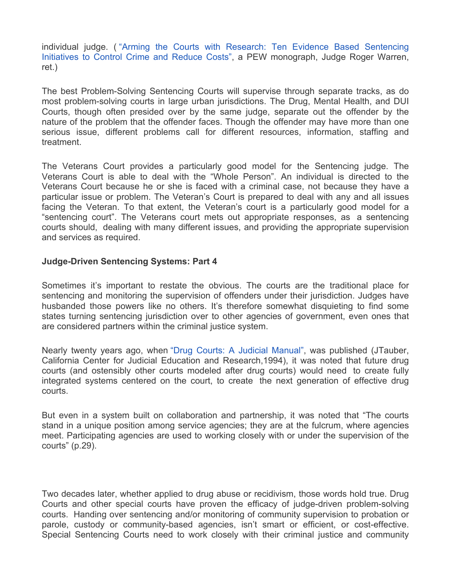individual judge. ( "Arming the Courts with Research: Ten Evidence Based Sentencing Initiatives to Control Crime and Reduce Costs", a PEW monograph, Judge Roger Warren, ret.)

The best Problem-Solving Sentencing Courts will supervise through separate tracks, as do most problem-solving courts in large urban jurisdictions. The Drug, Mental Health, and DUI Courts, though often presided over by the same judge, separate out the offender by the nature of the problem that the offender faces. Though the offender may have more than one serious issue, different problems call for different resources, information, staffing and treatment.

The Veterans Court provides a particularly good model for the Sentencing judge. The Veterans Court is able to deal with the "Whole Person". An individual is directed to the Veterans Court because he or she is faced with a criminal case, not because they have a particular issue or problem. The Veteran's Court is prepared to deal with any and all issues facing the Veteran. To that extent, the Veteran's court is a particularly good model for a "sentencing court". The Veterans court mets out appropriate responses, as a sentencing courts should, dealing with many different issues, and providing the appropriate supervision and services as required.

#### **Judge-Driven Sentencing Systems: Part 4**

Sometimes it's important to restate the obvious. The courts are the traditional place for sentencing and monitoring the supervision of offenders under their jurisdiction. Judges have husbanded those powers like no others. It's therefore somewhat disquieting to find some states turning sentencing jurisdiction over to other agencies of government, even ones that are considered partners within the criminal justice system.

Nearly twenty years ago, when "Drug Courts: A Judicial Manual", was published (JTauber, California Center for Judicial Education and Research,1994), it was noted that future drug courts (and ostensibly other courts modeled after drug courts) would need to create fully integrated systems centered on the court, to create the next generation of effective drug courts.

But even in a system built on collaboration and partnership, it was noted that "The courts stand in a unique position among service agencies; they are at the fulcrum, where agencies meet. Participating agencies are used to working closely with or under the supervision of the courts" (p.29).

Two decades later, whether applied to drug abuse or recidivism, those words hold true. Drug Courts and other special courts have proven the efficacy of judge-driven problem-solving courts. Handing over sentencing and/or monitoring of community supervision to probation or parole, custody or community-based agencies, isn't smart or efficient, or cost-effective. Special Sentencing Courts need to work closely with their criminal justice and community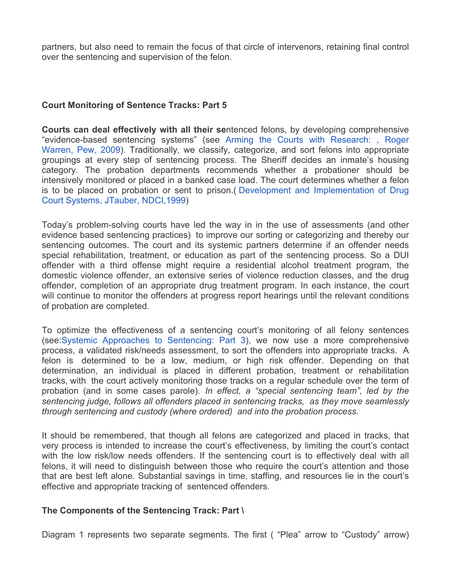partners, but also need to remain the focus of that circle of intervenors, retaining final control over the sentencing and supervision of the felon.

### **Court Monitoring of Sentence Tracks: Part 5**

**Courts can deal effectively with all their se**ntenced felons, by developing comprehensive "evidence-based sentencing systems" (see Arming the Courts with Research: , Roger Warren, Pew, 2009). Traditionally, we classify, categorize, and sort felons into appropriate groupings at every step of sentencing process. The Sheriff decides an inmate's housing category. The probation departments recommends whether a probationer should be intensively monitored or placed in a banked case load. The court determines whether a felon is to be placed on probation or sent to prison.( Development and Implementation of Drug Court Systems, JTauber, NDCI,1999)

Today's problem-solving courts have led the way in in the use of assessments (and other evidence based sentencing practices) to improve our sorting or categorizing and thereby our sentencing outcomes. The court and its systemic partners determine if an offender needs special rehabilitation, treatment, or education as part of the sentencing process. So a DUI offender with a third offense might require a residential alcohol treatment program, the domestic violence offender, an extensive series of violence reduction classes, and the drug offender, completion of an appropriate drug treatment program. In each instance, the court will continue to monitor the offenders at progress report hearings until the relevant conditions of probation are completed.

To optimize the effectiveness of a sentencing court's monitoring of all felony sentences (see:Systemic Approaches to Sentencing: Part 3), we now use a more comprehensive process, a validated risk/needs assessment, to sort the offenders into appropriate tracks. A felon is determined to be a low, medium, or high risk offender. Depending on that determination, an individual is placed in different probation, treatment or rehabilitation tracks, with the court actively monitoring those tracks on a regular schedule over the term of probation (and in some cases parole). *In effect, a "special sentencing team", led by the sentencing judge, follows all offenders placed in sentencing tracks, as they move seamlessly through sentencing and custody (where ordered) and into the probation process.*

It should be remembered, that though all felons are categorized and placed in tracks, that very process is intended to increase the court's effectiveness, by limiting the court's contact with the low risk/low needs offenders. If the sentencing court is to effectively deal with all felons, it will need to distinguish between those who require the court's attention and those that are best left alone. Substantial savings in time, staffing, and resources lie in the court's effective and appropriate tracking of sentenced offenders.

### **The Components of the Sentencing Track: Part \**

Diagram 1 represents two separate segments. The first ( "Plea" arrow to "Custody" arrow)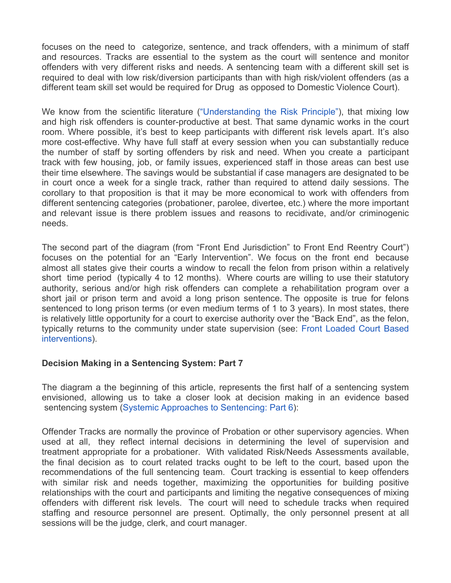focuses on the need to categorize, sentence, and track offenders, with a minimum of staff and resources. Tracks are essential to the system as the court will sentence and monitor offenders with very different risks and needs. A sentencing team with a different skill set is required to deal with low risk/diversion participants than with high risk/violent offenders (as a different team skill set would be required for Drug as opposed to Domestic Violence Court).

We know from the scientific literature ("Understanding the Risk Principle"), that mixing low and high risk offenders is counter-productive at best. That same dynamic works in the court room. Where possible, it's best to keep participants with different risk levels apart. It's also more cost-effective. Why have full staff at every session when you can substantially reduce the number of staff by sorting offenders by risk and need. When you create a participant track with few housing, job, or family issues, experienced staff in those areas can best use their time elsewhere. The savings would be substantial if case managers are designated to be in court once a week for a single track, rather than required to attend daily sessions. The corollary to that proposition is that it may be more economical to work with offenders from different sentencing categories (probationer, parolee, divertee, etc.) where the more important and relevant issue is there problem issues and reasons to recidivate, and/or criminogenic needs.

The second part of the diagram (from "Front End Jurisdiction" to Front End Reentry Court") focuses on the potential for an "Early Intervention". We focus on the front end because almost all states give their courts a window to recall the felon from prison within a relatively short time period (typically 4 to 12 months). Where courts are willing to use their statutory authority, serious and/or high risk offenders can complete a rehabilitation program over a short jail or prison term and avoid a long prison sentence. The opposite is true for felons sentenced to long prison terms (or even medium terms of 1 to 3 years). In most states, there is relatively little opportunity for a court to exercise authority over the "Back End", as the felon, typically returns to the community under state supervision (see: Front Loaded Court Based interventions).

### **Decision Making in a Sentencing System: Part 7**

The diagram a the beginning of this article, represents the first half of a sentencing system envisioned, allowing us to take a closer look at decision making in an evidence based sentencing system (Systemic Approaches to Sentencing: Part 6):

Offender Tracks are normally the province of Probation or other supervisory agencies. When used at all, they reflect internal decisions in determining the level of supervision and treatment appropriate for a probationer. With validated Risk/Needs Assessments available, the final decision as to court related tracks ought to be left to the court, based upon the recommendations of the full sentencing team. Court tracking is essential to keep offenders with similar risk and needs together, maximizing the opportunities for building positive relationships with the court and participants and limiting the negative consequences of mixing offenders with different risk levels. The court will need to schedule tracks when required staffing and resource personnel are present. Optimally, the only personnel present at all sessions will be the judge, clerk, and court manager.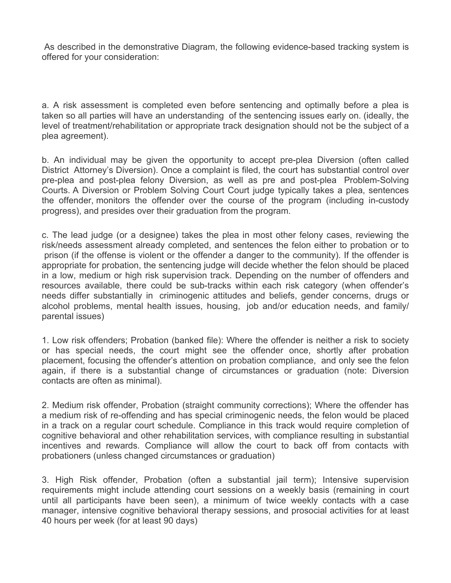As described in the demonstrative Diagram, the following evidence-based tracking system is offered for your consideration:

a. A risk assessment is completed even before sentencing and optimally before a plea is taken so all parties will have an understanding of the sentencing issues early on. (ideally, the level of treatment/rehabilitation or appropriate track designation should not be the subject of a plea agreement).

b. An individual may be given the opportunity to accept pre-plea Diversion (often called District Attorney's Diversion). Once a complaint is filed, the court has substantial control over pre-plea and post-plea felony Diversion, as well as pre and post-plea Problem-Solving Courts. A Diversion or Problem Solving Court Court judge typically takes a plea, sentences the offender, monitors the offender over the course of the program (including in-custody progress), and presides over their graduation from the program.

c. The lead judge (or a designee) takes the plea in most other felony cases, reviewing the risk/needs assessment already completed, and sentences the felon either to probation or to prison (if the offense is violent or the offender a danger to the community). If the offender is appropriate for probation, the sentencing judge will decide whether the felon should be placed in a low, medium or high risk supervision track. Depending on the number of offenders and resources available, there could be sub-tracks within each risk category (when offender's needs differ substantially in criminogenic attitudes and beliefs, gender concerns, drugs or alcohol problems, mental health issues, housing, job and/or education needs, and family/ parental issues)

1. Low risk offenders; Probation (banked file): Where the offender is neither a risk to society or has special needs, the court might see the offender once, shortly after probation placement, focusing the offender's attention on probation compliance, and only see the felon again, if there is a substantial change of circumstances or graduation (note: Diversion contacts are often as minimal).

2. Medium risk offender, Probation (straight community corrections); Where the offender has a medium risk of re-offending and has special criminogenic needs, the felon would be placed in a track on a regular court schedule. Compliance in this track would require completion of cognitive behavioral and other rehabilitation services, with compliance resulting in substantial incentives and rewards. Compliance will allow the court to back off from contacts with probationers (unless changed circumstances or graduation)

3. High Risk offender, Probation (often a substantial jail term); Intensive supervision requirements might include attending court sessions on a weekly basis (remaining in court until all participants have been seen), a minimum of twice weekly contacts with a case manager, intensive cognitive behavioral therapy sessions, and prosocial activities for at least 40 hours per week (for at least 90 days)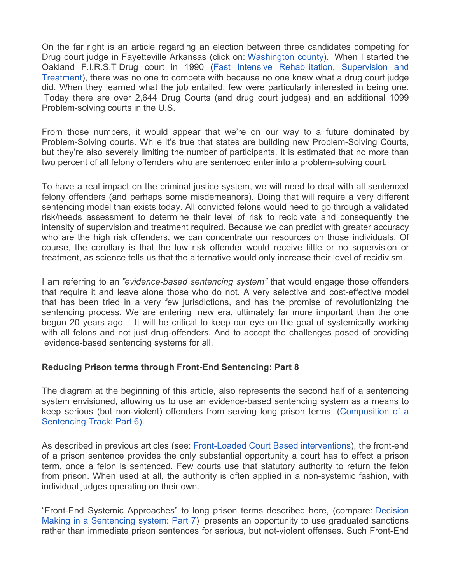On the far right is an article regarding an election between three candidates competing for Drug court judge in Fayetteville Arkansas (click on: Washington county). When I started the Oakland F.I.R.S.T Drug court in 1990 (Fast Intensive Rehabilitation, Supervision and Treatment), there was no one to compete with because no one knew what a drug court judge did. When they learned what the job entailed, few were particularly interested in being one. Today there are over 2,644 Drug Courts (and drug court judges) and an additional 1099 Problem-solving courts in the U.S.

From those numbers, it would appear that we're on our way to a future dominated by Problem-Solving courts. While it's true that states are building new Problem-Solving Courts, but they're also severely limiting the number of participants. It is estimated that no more than two percent of all felony offenders who are sentenced enter into a problem-solving court.

To have a real impact on the criminal justice system, we will need to deal with all sentenced felony offenders (and perhaps some misdemeanors). Doing that will require a very different sentencing model than exists today. All convicted felons would need to go through a validated risk/needs assessment to determine their level of risk to recidivate and consequently the intensity of supervision and treatment required. Because we can predict with greater accuracy who are the high risk offenders, we can concentrate our resources on those individuals. Of course, the corollary is that the low risk offender would receive little or no supervision or treatment, as science tells us that the alternative would only increase their level of recidivism.

I am referring to an *"evidence-based sentencing system"* that would engage those offenders that require it and leave alone those who do not. A very selective and cost-effective model that has been tried in a very few jurisdictions, and has the promise of revolutionizing the sentencing process. We are entering new era, ultimately far more important than the one begun 20 years ago. It will be critical to keep our eye on the goal of systemically working with all felons and not just drug-offenders. And to accept the challenges posed of providing evidence-based sentencing systems for all.

### **Reducing Prison terms through Front-End Sentencing: Part 8**

The diagram at the beginning of this article, also represents the second half of a sentencing system envisioned, allowing us to use an evidence-based sentencing system as a means to keep serious (but non-violent) offenders from serving long prison terms (Composition of a Sentencing Track: Part 6).

As described in previous articles (see: Front-Loaded Court Based interventions), the front-end of a prison sentence provides the only substantial opportunity a court has to effect a prison term, once a felon is sentenced. Few courts use that statutory authority to return the felon from prison. When used at all, the authority is often applied in a non-systemic fashion, with individual judges operating on their own.

"Front-End Systemic Approaches" to long prison terms described here, (compare: Decision Making in a Sentencing system: Part 7) presents an opportunity to use graduated sanctions rather than immediate prison sentences for serious, but not-violent offenses. Such Front-End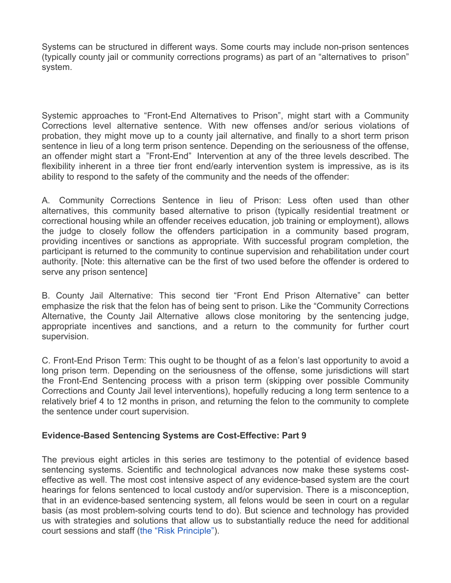Systems can be structured in different ways. Some courts may include non-prison sentences (typically county jail or community corrections programs) as part of an "alternatives to prison" system.

Systemic approaches to "Front-End Alternatives to Prison", might start with a Community Corrections level alternative sentence. With new offenses and/or serious violations of probation, they might move up to a county jail alternative, and finally to a short term prison sentence in lieu of a long term prison sentence. Depending on the seriousness of the offense, an offender might start a "Front-End" Intervention at any of the three levels described. The flexibility inherent in a three tier front end/early intervention system is impressive, as is its ability to respond to the safety of the community and the needs of the offender:

A. Community Corrections Sentence in lieu of Prison: Less often used than other alternatives, this community based alternative to prison (typically residential treatment or correctional housing while an offender receives education, job training or employment), allows the judge to closely follow the offenders participation in a community based program, providing incentives or sanctions as appropriate. With successful program completion, the participant is returned to the community to continue supervision and rehabilitation under court authority. [Note: this alternative can be the first of two used before the offender is ordered to serve any prison sentence]

B. County Jail Alternative: This second tier "Front End Prison Alternative" can better emphasize the risk that the felon has of being sent to prison. Like the "Community Corrections Alternative, the County Jail Alternative allows close monitoring by the sentencing judge, appropriate incentives and sanctions, and a return to the community for further court supervision.

C. Front-End Prison Term: This ought to be thought of as a felon's last opportunity to avoid a long prison term. Depending on the seriousness of the offense, some jurisdictions will start the Front-End Sentencing process with a prison term (skipping over possible Community Corrections and County Jail level interventions), hopefully reducing a long term sentence to a relatively brief 4 to 12 months in prison, and returning the felon to the community to complete the sentence under court supervision.

### **Evidence-Based Sentencing Systems are Cost-Effective: Part 9**

The previous eight articles in this series are testimony to the potential of evidence based sentencing systems. Scientific and technological advances now make these systems costeffective as well. The most cost intensive aspect of any evidence-based system are the court hearings for felons sentenced to local custody and/or supervision. There is a misconception, that in an evidence-based sentencing system, all felons would be seen in court on a regular basis (as most problem-solving courts tend to do). But science and technology has provided us with strategies and solutions that allow us to substantially reduce the need for additional court sessions and staff (the "Risk Principle").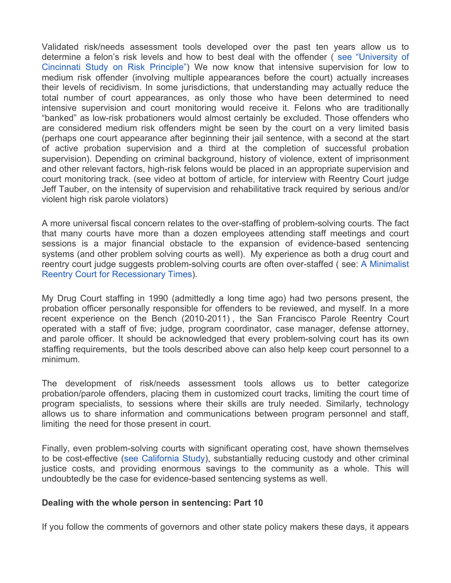Validated risk/needs assessment tools developed over the past ten years allow us to determine a felon's risk levels and how to best deal with the offender ( see "University of Cincinnati Study on Risk Principle") We now know that intensive supervision for low to medium risk offender (involving multiple appearances before the court) actually increases their levels of recidivism. In some jurisdictions, that understanding may actually reduce the total number of court appearances, as only those who have been determined to need intensive supervision and court monitoring would receive it. Felons who are traditionally "banked" as low-risk probationers would almost certainly be excluded. Those offenders who are considered medium risk offenders might be seen by the court on a very limited basis (perhaps one court appearance after beginning their jail sentence, with a second at the start of active probation supervision and a third at the completion of successful probation supervision). Depending on criminal background, history of violence, extent of imprisonment and other relevant factors, high-risk felons would be placed in an appropriate supervision and court monitoring track. (see video at bottom of article, for interview with Reentry Court judge Jeff Tauber, on the intensity of supervision and rehabilitative track required by serious and/or violent high risk parole violators)

A more universal fiscal concern relates to the over-staffing of problem-solving courts. The fact that many courts have more than a dozen employees attending staff meetings and court sessions is a major financial obstacle to the expansion of evidence-based sentencing systems (and other problem solving courts as well). My experience as both a drug court and reentry court judge suggests problem-solving courts are often over-staffed ( see: A Minimalist Reentry Court for Recessionary Times).

My Drug Court staffing in 1990 (admittedly a long time ago) had two persons present, the probation officer personally responsible for offenders to be reviewed, and myself. In a more recent experience on the Bench (2010-2011) , the San Francisco Parole Reentry Court operated with a staff of five; judge, program coordinator, case manager, defense attorney, and parole officer. It should be acknowledged that every problem-solving court has its own staffing requirements, but the tools described above can also help keep court personnel to a minimum.

The development of risk/needs assessment tools allows us to better categorize probation/parole offenders, placing them in customized court tracks, limiting the court time of program specialists, to sessions where their skills are truly needed. Similarly, technology allows us to share information and communications between program personnel and staff, limiting the need for those present in court.

Finally, even problem-solving courts with significant operating cost, have shown themselves to be cost-effective (see California Study), substantially reducing custody and other criminal justice costs, and providing enormous savings to the community as a whole. This will undoubtedly be the case for evidence-based sentencing systems as well.

### **Dealing with the whole person in sentencing: Part 10**

If you follow the comments of governors and other state policy makers these days, it appears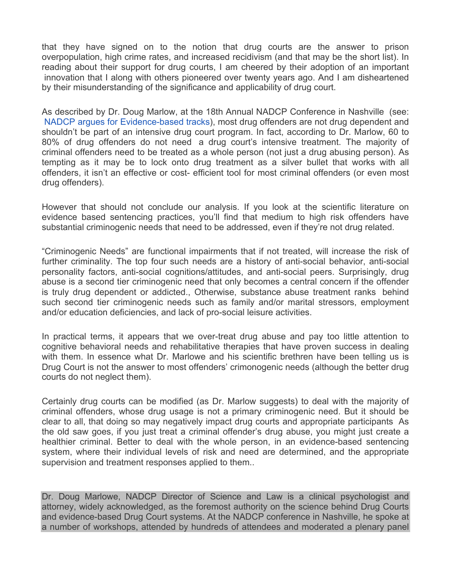that they have signed on to the notion that drug courts are the answer to prison overpopulation, high crime rates, and increased recidivism (and that may be the short list). In reading about their support for drug courts, I am cheered by their adoption of an important innovation that I along with others pioneered over twenty years ago. And I am disheartened by their misunderstanding of the significance and applicability of drug court.

As described by Dr. Doug Marlow, at the 18th Annual NADCP Conference in Nashville (see: NADCP argues for Evidence-based tracks), most drug offenders are not drug dependent and shouldn't be part of an intensive drug court program. In fact, according to Dr. Marlow, 60 to 80% of drug offenders do not need a drug court's intensive treatment. The majority of criminal offenders need to be treated as a whole person (not just a drug abusing person). As tempting as it may be to lock onto drug treatment as a silver bullet that works with all offenders, it isn't an effective or cost- efficient tool for most criminal offenders (or even most drug offenders).

However that should not conclude our analysis. If you look at the scientific literature on evidence based sentencing practices, you'll find that medium to high risk offenders have substantial criminogenic needs that need to be addressed, even if they're not drug related.

"Criminogenic Needs" are functional impairments that if not treated, will increase the risk of further criminality. The top four such needs are a history of anti-social behavior, anti-social personality factors, anti-social cognitions/attitudes, and anti-social peers. Surprisingly, drug abuse is a second tier criminogenic need that only becomes a central concern if the offender is truly drug dependent or addicted., Otherwise, substance abuse treatment ranks behind such second tier criminogenic needs such as family and/or marital stressors, employment and/or education deficiencies, and lack of pro-social leisure activities.

In practical terms, it appears that we over-treat drug abuse and pay too little attention to cognitive behavioral needs and rehabilitative therapies that have proven success in dealing with them. In essence what Dr. Marlowe and his scientific brethren have been telling us is Drug Court is not the answer to most offenders' crimonogenic needs (although the better drug courts do not neglect them).

Certainly drug courts can be modified (as Dr. Marlow suggests) to deal with the majority of criminal offenders, whose drug usage is not a primary criminogenic need. But it should be clear to all, that doing so may negatively impact drug courts and appropriate participants As the old saw goes, if you just treat a criminal offender's drug abuse, you might just create a healthier criminal. Better to deal with the whole person, in an evidence-based sentencing system, where their individual levels of risk and need are determined, and the appropriate supervision and treatment responses applied to them..

Dr. Doug Marlowe, NADCP Director of Science and Law is a clinical psychologist and attorney, widely acknowledged, as the foremost authority on the science behind Drug Courts and evidence-based Drug Court systems. At the NADCP conference in Nashville, he spoke at a number of workshops, attended by hundreds of attendees and moderated a plenary panel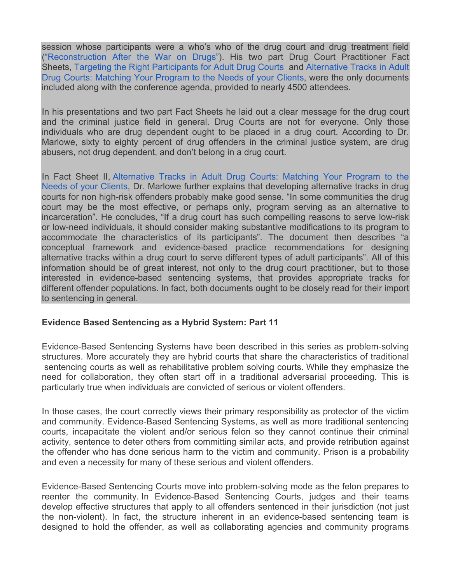session whose participants were a who's who of the drug court and drug treatment field ("Reconstruction After the War on Drugs"). His two part Drug Court Practitioner Fact Sheets, Targeting the Right Participants for Adult Drug Courts and Alternative Tracks in Adult Drug Courts: Matching Your Program to the Needs of your Clients, were the only documents included along with the conference agenda, provided to nearly 4500 attendees.

In his presentations and two part Fact Sheets he laid out a clear message for the drug court and the criminal justice field in general. Drug Courts are not for everyone. Only those individuals who are drug dependent ought to be placed in a drug court. According to Dr. Marlowe, sixty to eighty percent of drug offenders in the criminal justice system, are drug abusers, not drug dependent, and don't belong in a drug court.

In Fact Sheet II, Alternative Tracks in Adult Drug Courts: Matching Your Program to the Needs of your Clients, Dr. Marlowe further explains that developing alternative tracks in drug courts for non high-risk offenders probably make good sense. "In some communities the drug court may be the most effective, or perhaps only, program serving as an alternative to incarceration". He concludes, "If a drug court has such compelling reasons to serve low-risk or low-need individuals, it should consider making substantive modifications to its program to accommodate the characteristics of its participants". The document then describes "a conceptual framework and evidence-based practice recommendations for designing alternative tracks within a drug court to serve different types of adult participants". All of this information should be of great interest, not only to the drug court practitioner, but to those interested in evidence-based sentencing systems, that provides appropriate tracks for different offender populations. In fact, both documents ought to be closely read for their import to sentencing in general.

### **Evidence Based Sentencing as a Hybrid System: Part 11**

Evidence-Based Sentencing Systems have been described in this series as problem-solving structures. More accurately they are hybrid courts that share the characteristics of traditional sentencing courts as well as rehabilitative problem solving courts. While they emphasize the need for collaboration, they often start off in a traditional adversarial proceeding. This is particularly true when individuals are convicted of serious or violent offenders.

In those cases, the court correctly views their primary responsibility as protector of the victim and community. Evidence-Based Sentencing Systems, as well as more traditional sentencing courts, incapacitate the violent and/or serious felon so they cannot continue their criminal activity, sentence to deter others from committing similar acts, and provide retribution against the offender who has done serious harm to the victim and community. Prison is a probability and even a necessity for many of these serious and violent offenders.

Evidence-Based Sentencing Courts move into problem-solving mode as the felon prepares to reenter the community. In Evidence-Based Sentencing Courts, judges and their teams develop effective structures that apply to all offenders sentenced in their jurisdiction (not just the non-violent). In fact, the structure inherent in an evidence-based sentencing team is designed to hold the offender, as well as collaborating agencies and community programs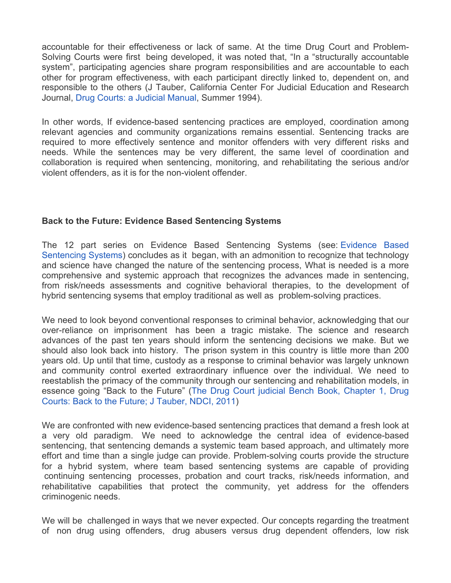accountable for their effectiveness or lack of same. At the time Drug Court and Problem-Solving Courts were first being developed, it was noted that, "In a "structurally accountable system", participating agencies share program responsibilities and are accountable to each other for program effectiveness, with each participant directly linked to, dependent on, and responsible to the others (J Tauber, California Center For Judicial Education and Research Journal, Drug Courts: a Judicial Manual, Summer 1994).

In other words, If evidence-based sentencing practices are employed, coordination among relevant agencies and community organizations remains essential. Sentencing tracks are required to more effectively sentence and monitor offenders with very different risks and needs. While the sentences may be very different, the same level of coordination and collaboration is required when sentencing, monitoring, and rehabilitating the serious and/or violent offenders, as it is for the non-violent offender.

## **Back to the Future: Evidence Based Sentencing Systems**

The 12 part series on Evidence Based Sentencing Systems (see: Evidence Based Sentencing Systems) concludes as it began, with an admonition to recognize that technology and science have changed the nature of the sentencing process, What is needed is a more comprehensive and systemic approach that recognizes the advances made in sentencing, from risk/needs assessments and cognitive behavioral therapies, to the development of hybrid sentencing sysems that employ traditional as well as problem-solving practices.

We need to look beyond conventional responses to criminal behavior, acknowledging that our over-reliance on imprisonment has been a tragic mistake. The science and research advances of the past ten years should inform the sentencing decisions we make. But we should also look back into history. The prison system in this country is little more than 200 years old. Up until that time, custody as a response to criminal behavior was largely unknown and community control exerted extraordinary influence over the individual. We need to reestablish the primacy of the community through our sentencing and rehabilitation models, in essence going "Back to the Future" (The Drug Court judicial Bench Book, Chapter 1, Drug Courts: Back to the Future; J Tauber, NDCI, 2011)

We are confronted with new evidence-based sentencing practices that demand a fresh look at a very old paradigm. We need to acknowledge the central idea of evidence-based sentencing, that sentencing demands a systemic team based approach, and ultimately more effort and time than a single judge can provide. Problem-solving courts provide the structure for a hybrid system, where team based sentencing systems are capable of providing continuing sentencing processes, probation and court tracks, risk/needs information, and rehabilitative capabilities that protect the community, yet address for the offenders criminogenic needs.

We will be challenged in ways that we never expected. Our concepts regarding the treatment of non drug using offenders, drug abusers versus drug dependent offenders, low risk